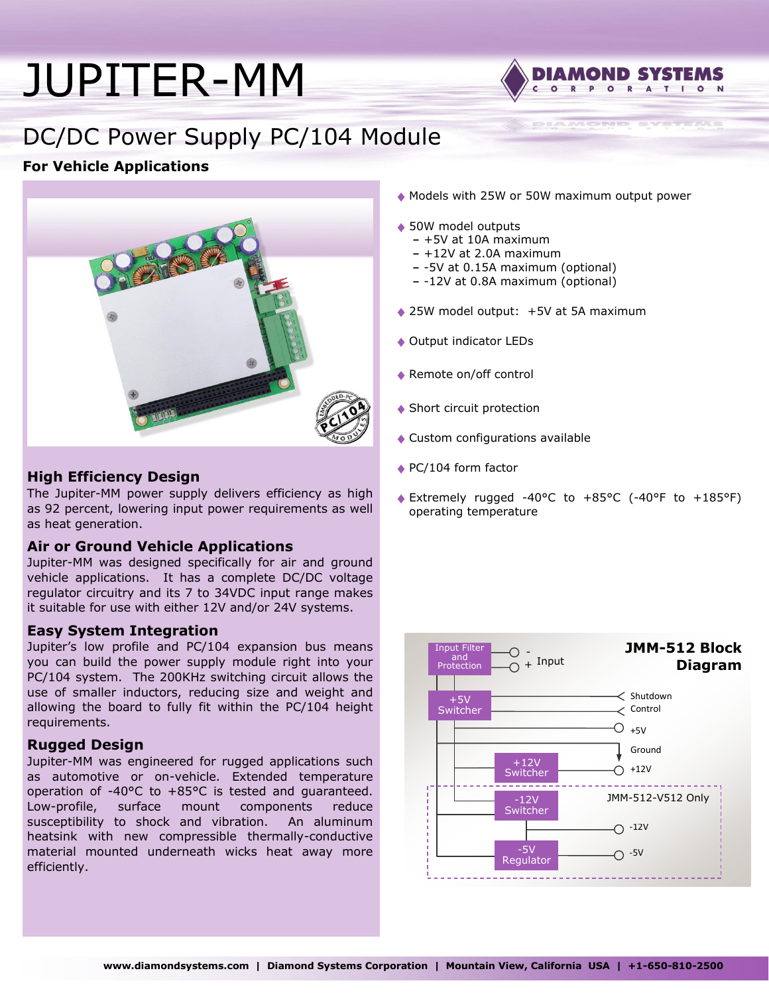# [JUPITER-MM](http://www.diamondsystems.com/products/jupitermm)



**DIAMOND SYSTEMS** 

# DC/DC Power Supply PC/104 Module

# **For Vehicle Applications**



## **High Efficiency Design**

The Jupiter-MM power supply delivers efficiency as high as 92 percent, lowering input power requirements as well as heat generation.

## **Air or Ground Vehicle Applications**

Jupiter-MM was designed specifically for air and ground vehicle applications. It has a complete DC/DC voltage regulator circuitry and its 7 to 34VDC input range makes it suitable for use with either 12V and/or 24V systems.

## **Easy System Integration**

Jupiter's low profile and PC/104 expansion bus means you can build the power supply module right into your PC/104 system. The 200KHz switching circuit allows the use of smaller inductors, reducing size and weight and allowing the board to fully fit within the PC/104 height requirements.

#### **Rugged Design**

Jupiter-MM was engineered for rugged applications such as automotive or on-vehicle. Extended temperature operation of -40°C to +85°C is tested and guaranteed. Low-profile, surface mount components reduce susceptibility to shock and vibration. An aluminum heatsink with new compressible thermally-conductive material mounted underneath wicks heat away more efficiently.

- Models with 25W or 50W maximum output power
- ◆ 50W model outputs
	- **-** +5V at 10A maximum
	- **-** +12V at 2.0A maximum
	- **-** -5V at 0.15A maximum (optional)
	- **-** -12V at 0.8A maximum (optional)
- ◆ 25W model output: +5V at 5A maximum
- ◆ Output indicator LEDs
- ◆ Remote on/off control
- ◆ Short circuit protection
- Custom configurations available
- ◆ PC/104 form factor
- Extremely rugged -40°C to +85°C (-40°F to +185°F) operating temperature